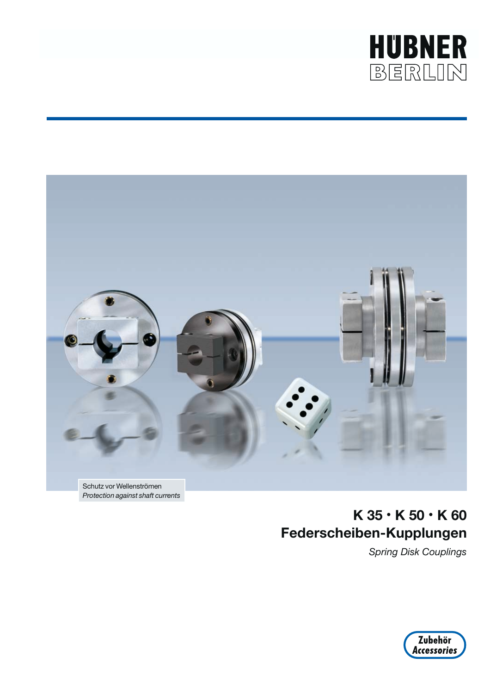



*Protection against shaft currents*

## **K 35 • K 50 • K 60 Federscheiben-Kupplungen**

*Spring Disk Couplings*

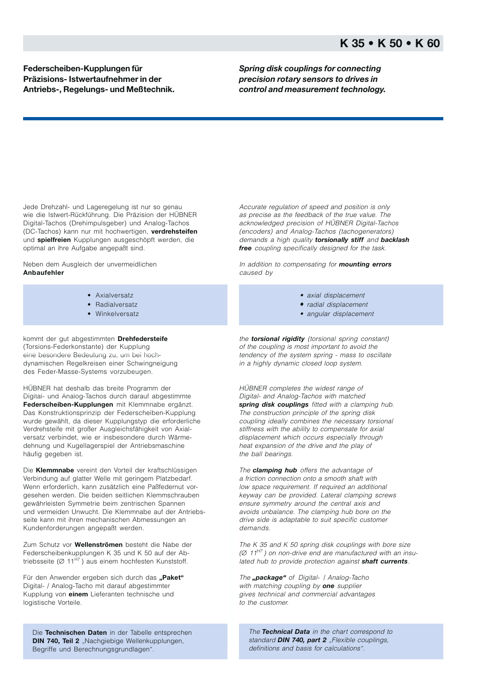**Federscheiben-Kupplungen für Präzisions- Istwertaufnehmer in der Antriebs-, Regelungs- und Meßtechnik.** *Spring disk couplings for connecting precision rotary sensors to drives in control and measurement technology.*

Jede Drehzahl- und Lageregelung ist nur so genau wie die Istwert-Rückführung. Die Präzision der HÜBNER Digital-Tachos (Drehimpulsgeber) und Analog-Tachos (DC-Tachos) kann nur mit hochwertigen, **verdrehsteifen** und **spielfreien** Kupplungen ausgeschöpft werden, die optimal an ihre Aufgabe angepaßt sind.

Neben dem Ausgleich der unvermeidlichen **Anbaufehler**

- Axialversatz
- Radialversatz
- Winkelversatz

kommt der gut abgestimmten **Drehfedersteife** (Torsions-Federkonstante) der Kupplung eine besondere Bedeutung zu, um bei hochdynamischen Regelkreisen einer Schwingneigung des Feder-Masse-Systems vorzubeugen.

HÜBNER hat deshalb das breite Programm der Digital- und Analog-Tachos durch darauf abgestimmte **Federscheiben-Kupplungen** mit Klemmnabe ergänzt. Das Konstruktionsprinzip der Federscheiben-Kupplung wurde gewählt, da dieser Kupplungstyp die erforderliche Verdrehsteife mit großer Ausgleichsfähigkeit von Axialversatz verbindet, wie er insbesondere durch Wärmedehnung und Kugellagerspiel der Antriebsmaschine häufig gegeben ist.

Die **Klemmnabe** vereint den Vorteil der kraftschlüssigen Verbindung auf glatter Welle mit geringem Platzbedarf. Wenn erforderlich, kann zusätzlich eine Paßfedernut vorgesehen werden. Die beiden seitlichen Klemmschrauben gewährleisten Symmetrie beim zentrischen Spannen und vermeiden Unwucht. Die Klemmnabe auf der Antriebsseite kann mit ihren mechanischen Abmessungen an Kundenforderungen angepaßt werden.

Zum Schutz vor **Wellenströmen** besteht die Nabe der Federscheibenkupplungen K 35 und K 50 auf der Abtriebsseite ( $Ø 11<sup>H7</sup>$ ) aus einem hochfesten Kunststoff.

Für den Anwender ergeben sich durch das "Paket" Digital- / Analog-Tacho mit darauf abgestimmter Kupplung von **einem** Lieferanten technische und logistische Vorteile.

Die **Technischen Daten** in der Tabelle entsprechen **DIN 740, Teil 2** "Nachgiebige Wellenkupplungen, Begriffe und Berechnungsgrundlagen".

Accurate regulation of speed and position is only as precise as the feedback of the true value. The acknowledged precision of HÜBNER Digital-Tachos (encoders) and Analog-Tachos (tachogenerators) demands a high quality *torsionally stiff* and *backlash free* coupling specifically designed for the task.

In addition to compensating for *mounting errors* caused by

- axial displacement
- radial displacement •
- angular displacement

the *torsional rigidity* (torsional spring constant) of the coupling is most important to avoid the tendency of the system spring - mass to oscillate in a highly dynamic closed loop system.

HÜBNER completes the widest range of Digital- and Analog-Tachos with matched *spring disk couplings* fitted with a clamping hub. The construction principle of the spring disk coupling ideally combines the necessary torsional stiffness with the ability to compensate for axial displacement which occurs especially through heat expansion of the drive and the play of the ball bearings.

The *clamping hub* offers the advantage of a friction connection onto a smooth shaft with low space requirement. If required an additional keyway can be provided. Lateral clamping screws ensure symmetry around the central axis and avoids unbalance. The clamping hub bore on the drive side is adaptable to suit specific customer demands.

The K 35 and K 50 spring disk couplings with bore size  $(Ø 11<sup>H7</sup>)$  on non-drive end are manufactured with an insulated hub to provide protection against *shaft currents*.

The "package" of Digital- | Analog-Tacho with matching coupling by *one* supplier gives technical and commercial advantages to the customer.

The *Technical Data* in the chart correspond to standard **DIN 740, part 2** "Flexible couplings, definitions and basis for calculations".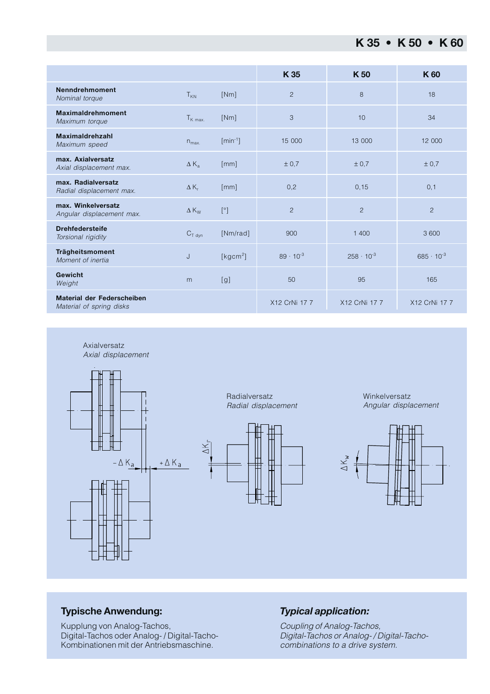|                                                               |                      |                      | K 35               | K <sub>50</sub>     | K 60                |
|---------------------------------------------------------------|----------------------|----------------------|--------------------|---------------------|---------------------|
| <b>Nenndrehmoment</b><br>Nominal torque                       | $T_{KN}$             | [Nm]                 | $\overline{2}$     | 8                   | 18                  |
| <b>Maximaldrehmoment</b><br>Maximum torque                    | $T_{K \text{ max.}}$ | [Nm]                 | 3                  | 10                  | 34                  |
| Maximaldrehzahl<br>Maximum speed                              | $n_{\text{max}}$     | $[min^{-1}]$         | 15 000             | 13 000              | 12 000              |
| max. Axialversatz<br>Axial displacement max.                  | $\Delta K_{a}$       | [mm]                 | ± 0.7              | ± 0.7               | ± 0.7               |
| max. Radialversatz<br>Radial displacement max.                | $\Delta K_r$         | [mm]                 | 0,2                | 0, 15               | 0,1                 |
| max. Winkelversatz<br>Angular displacement max.               | $\Delta K_W$         | [°]                  | $\overline{c}$     | $\overline{2}$      | $\overline{2}$      |
| <b>Drehfedersteife</b><br>Torsional rigidity                  | $C_{T}$ dyn          | [Nm/rad]             | 900                | 1400                | 3600                |
| Trägheitsmoment<br>Moment of inertia                          | J                    | [kgcm <sup>2</sup> ] | $89 \cdot 10^{-3}$ | $258 \cdot 10^{-3}$ | $685 \cdot 10^{-3}$ |
| Gewicht<br>Weight                                             | m                    | [g]                  | 50                 | 95                  | 165                 |
| <b>Material der Federscheiben</b><br>Material of spring disks |                      |                      | X12 CrNi 17 7      | X12 CrNi 17 7       | X12 CrNi 17 7       |



Winkelversatz Angular displacement



## **Typische Anwendung:**

Kupplung von Analog-Tachos, Digital-Tachos oder Analog- / Digital-Tacho-Kombinationen mit der Antriebsmaschine.

## *Typical application:*

Coupling of Analog-Tachos, Digital-Tachos or Analog- / Digital-Tachocombinations to a drive system.